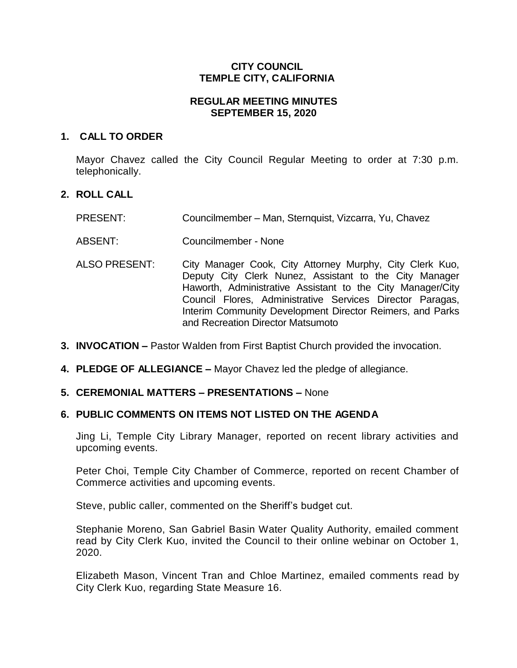# **CITY COUNCIL TEMPLE CITY, CALIFORNIA**

# **REGULAR MEETING MINUTES SEPTEMBER 15, 2020**

### **1. CALL TO ORDER**

Mayor Chavez called the City Council Regular Meeting to order at 7:30 p.m. telephonically.

# **2. ROLL CALL**

PRESENT: Councilmember – Man, Sternquist, Vizcarra, Yu, Chavez

ABSENT: Councilmember - None

- ALSO PRESENT: City Manager Cook, City Attorney Murphy, City Clerk Kuo, Deputy City Clerk Nunez, Assistant to the City Manager Haworth, Administrative Assistant to the City Manager/City Council Flores, Administrative Services Director Paragas, Interim Community Development Director Reimers, and Parks and Recreation Director Matsumoto
- **3. INVOCATION –** Pastor Walden from First Baptist Church provided the invocation.
- **4. PLEDGE OF ALLEGIANCE –** Mayor Chavez led the pledge of allegiance.

# **5. CEREMONIAL MATTERS – PRESENTATIONS –** None

# **6. PUBLIC COMMENTS ON ITEMS NOT LISTED ON THE AGENDA**

Jing Li, Temple City Library Manager, reported on recent library activities and upcoming events.

Peter Choi, Temple City Chamber of Commerce, reported on recent Chamber of Commerce activities and upcoming events.

Steve, public caller, commented on the Sheriff's budget cut.

Stephanie Moreno, San Gabriel Basin Water Quality Authority, emailed comment read by City Clerk Kuo, invited the Council to their online webinar on October 1, 2020.

Elizabeth Mason, Vincent Tran and Chloe Martinez, emailed comments read by City Clerk Kuo, regarding State Measure 16.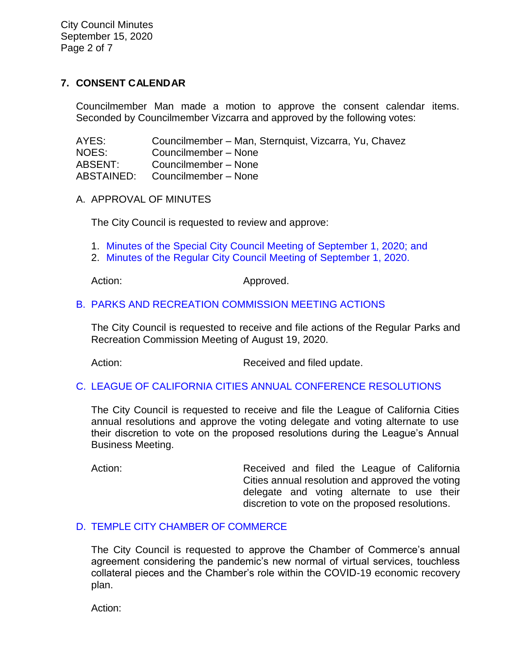City Council Minutes September 15, 2020 Page 2 of 7

# **7. CONSENT CALENDAR**

Councilmember Man made a motion to approve the consent calendar items. Seconded by Councilmember Vizcarra and approved by the following votes:

| AYES:      | Councilmember – Man, Sternquist, Vizcarra, Yu, Chavez |
|------------|-------------------------------------------------------|
| NOES:      | Councilmember - None                                  |
| ABSENT:    | Councilmember - None                                  |
| ABSTAINED: | Councilmember - None                                  |

A. APPROVAL OF MINUTES

The City Council is requested to review and approve:

- 1. Minutes of the Special [City Council Meeting of](https://ca-templecity.civicplus.com/DocumentCenter/View/15076/7A1_CCM---2020-09-01-Special) September 1, 2020; and
- 2. [Minutes of the Regular City Council Meeting of September 1, 2020.](https://ca-templecity.civicplus.com/DocumentCenter/View/15066/7A2_CCM---2020-09-01)

Action: Approved.

# B. PARKS AND RECREATION [COMMISSION MEETING ACTIONS](https://ca-templecity.civicplus.com/DocumentCenter/View/15067/7B_PRC-Regular-Meeting-Actions_-2020-08-19)

The City Council is requested to receive and file actions of the Regular Parks and Recreation Commission Meeting of August 19, 2020.

Action: Received and filed update.

# C. [LEAGUE OF CALIFORNIA CITIES ANNUAL CONFERENCE RESOLUTIONS](https://ca-templecity.civicplus.com/DocumentCenter/View/15068/7C_Annual-League-of-California-Cities-Conference-Resolutions)

The City Council is requested to receive and file the League of California Cities annual resolutions and approve the voting delegate and voting alternate to use their discretion to vote on the proposed resolutions during the League's Annual Business Meeting.

Action: **Received and filed the League of California** Cities annual resolution and approved the voting delegate and voting alternate to use their discretion to vote on the proposed resolutions.

# D. [TEMPLE CITY CHAMBER OF COMMERCE](https://ca-templecity.civicplus.com/DocumentCenter/View/15069/7D_Temple-City-Chamber-of-Commerce)

The City Council is requested to approve the Chamber of Commerce's annual agreement considering the pandemic's new normal of virtual services, touchless collateral pieces and the Chamber's role within the COVID-19 economic recovery plan.

Action: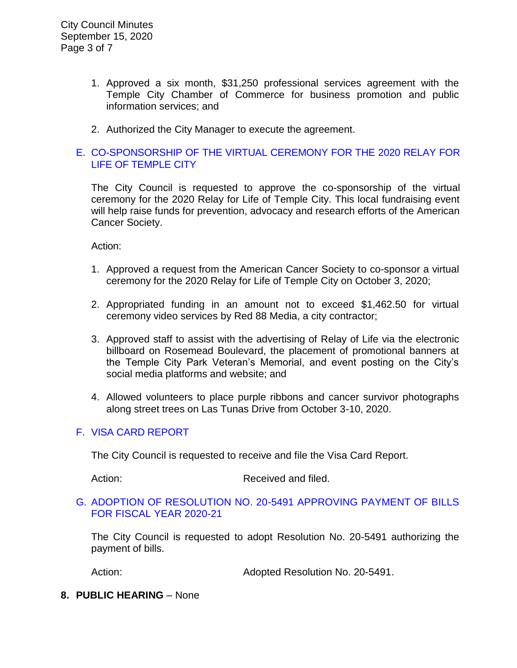- 1. Approved a six month, \$31,250 professional services agreement with the Temple City Chamber of Commerce for business promotion and public information services; and
- 2. Authorized the City Manager to execute the agreement.

# E. [CO-SPONSORSHIP OF THE VIRTUAL CEREMONY FOR THE 2020 RELAY FOR](https://ca-templecity.civicplus.com/DocumentCenter/View/15079/08-7E-Relay-for-Life-Co-Sponsorship)  [LIFE OF TEMPLE CITY](https://ca-templecity.civicplus.com/DocumentCenter/View/15079/08-7E-Relay-for-Life-Co-Sponsorship)

The City Council is requested to approve the co-sponsorship of the virtual ceremony for the 2020 Relay for Life of Temple City. This local fundraising event will help raise funds for prevention, advocacy and research efforts of the American Cancer Society.

Action:

- 1. Approved a request from the American Cancer Society to co-sponsor a virtual ceremony for the 2020 Relay for Life of Temple City on October 3, 2020;
- 2. Appropriated funding in an amount not to exceed \$1,462.50 for virtual ceremony video services by Red 88 Media, a city contractor;
- 3. Approved staff to assist with the advertising of Relay of Life via the electronic billboard on Rosemead Boulevard, the placement of promotional banners at the Temple City Park Veteran's Memorial, and event posting on the City's social media platforms and website; and
- 4. Allowed volunteers to place purple ribbons and cancer survivor photographs along street trees on Las Tunas Drive from October 3-10, 2020.

# F. [VISA CARD REPORT](https://ca-templecity.civicplus.com/DocumentCenter/View/15070/7F_Visa-Card-Report)

The City Council is requested to receive and file the Visa Card Report.

Action: Received and filed.

### G. [ADOPTION OF RESOLUTION NO. 20-5491](https://ca-templecity.civicplus.com/DocumentCenter/View/15071/7G_CC-Warrant) APPROVING PAYMENT OF BILLS [FOR FISCAL YEAR 2020-21](https://ca-templecity.civicplus.com/DocumentCenter/View/15071/7G_CC-Warrant)

The City Council is requested to adopt Resolution No. 20-5491 authorizing the payment of bills.

Action: Mathematic Mediated Resolution No. 20-5491.

### **8. PUBLIC HEARING** – None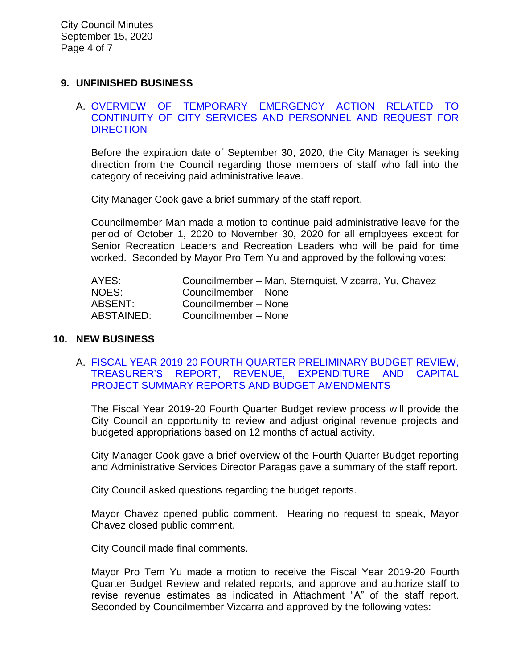# **9. UNFINISHED BUSINESS**

### A. [OVERVIEW OF TEMPORARY EMERGENCY ACTION RELATED TO](https://ca-templecity.civicplus.com/DocumentCenter/View/15072/9A_COVID-19-Admin-Leave)  [CONTINUITY OF CITY SERVICES AND PERSONNEL AND REQUEST FOR](https://ca-templecity.civicplus.com/DocumentCenter/View/15072/9A_COVID-19-Admin-Leave)  **[DIRECTION](https://ca-templecity.civicplus.com/DocumentCenter/View/15072/9A_COVID-19-Admin-Leave)**

Before the expiration date of September 30, 2020, the City Manager is seeking direction from the Council regarding those members of staff who fall into the category of receiving paid administrative leave.

City Manager Cook gave a brief summary of the staff report.

Councilmember Man made a motion to continue paid administrative leave for the period of October 1, 2020 to November 30, 2020 for all employees except for Senior Recreation Leaders and Recreation Leaders who will be paid for time worked. Seconded by Mayor Pro Tem Yu and approved by the following votes:

| AYES:      | Councilmember - Man, Sternquist, Vizcarra, Yu, Chavez |
|------------|-------------------------------------------------------|
| NOES:      | Councilmember - None                                  |
| ABSENT:    | Councilmember - None                                  |
| ABSTAINED: | Councilmember - None                                  |

#### **10. NEW BUSINESS**

A. [FISCAL YEAR 2019-20 FOURTH QUARTER PRELIMINARY BUDGET REVIEW,](https://ca-templecity.civicplus.com/DocumentCenter/View/15073/10A_4th-Qtr-Preliminary-Financial-Update)  [TREASURER'S REPORT, REVENUE, EXPENDITURE AND CAPITAL](https://ca-templecity.civicplus.com/DocumentCenter/View/15073/10A_4th-Qtr-Preliminary-Financial-Update)  [PROJECT SUMMARY REPORTS AND BUDGET AMENDMENTS](https://ca-templecity.civicplus.com/DocumentCenter/View/15073/10A_4th-Qtr-Preliminary-Financial-Update)

The Fiscal Year 2019-20 Fourth Quarter Budget review process will provide the City Council an opportunity to review and adjust original revenue projects and budgeted appropriations based on 12 months of actual activity.

City Manager Cook gave a brief overview of the Fourth Quarter Budget reporting and Administrative Services Director Paragas gave a summary of the staff report.

City Council asked questions regarding the budget reports.

Mayor Chavez opened public comment. Hearing no request to speak, Mayor Chavez closed public comment.

City Council made final comments.

Mayor Pro Tem Yu made a motion to receive the Fiscal Year 2019-20 Fourth Quarter Budget Review and related reports, and approve and authorize staff to revise revenue estimates as indicated in Attachment "A" of the staff report. Seconded by Councilmember Vizcarra and approved by the following votes: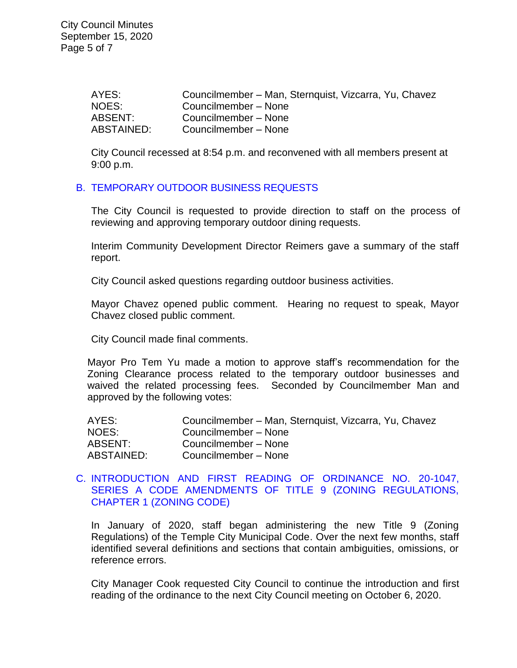| AYES:      | Councilmember – Man, Sternquist, Vizcarra, Yu, Chavez |
|------------|-------------------------------------------------------|
| NOES:      | Councilmember – None                                  |
| ABSENT:    | Councilmember - None                                  |
| ABSTAINED: | Councilmember - None                                  |

City Council recessed at 8:54 p.m. and reconvened with all members present at 9:00 p.m.

# B. [TEMPORARY OUTDOOR BUSINESS REQUESTS](https://ca-templecity.civicplus.com/DocumentCenter/View/15074/10B_Temporary-Outdoor-Business-Requests)

The City Council is requested to provide direction to staff on the process of reviewing and approving temporary outdoor dining requests.

Interim Community Development Director Reimers gave a summary of the staff report.

City Council asked questions regarding outdoor business activities.

Mayor Chavez opened public comment. Hearing no request to speak, Mayor Chavez closed public comment.

City Council made final comments.

Mayor Pro Tem Yu made a motion to approve staff's recommendation for the Zoning Clearance process related to the temporary outdoor businesses and waived the related processing fees. Seconded by Councilmember Man and approved by the following votes:

| AYES:      | Councilmember – Man, Sternquist, Vizcarra, Yu, Chavez |
|------------|-------------------------------------------------------|
| NOES:      | Councilmember - None                                  |
| ABSENT:    | Councilmember - None                                  |
| ABSTAINED: | Councilmember - None                                  |

# C. [INTRODUCTION AND FIRST READING OF ORDINANCE NO. 20-1047,](https://ca-templecity.civicplus.com/DocumentCenter/View/15080/14-10C-Series-A-Ordinance-Amendment)  [SERIES A CODE AMENDMENTS OF TITLE 9 \(ZONING REGULATIONS,](https://ca-templecity.civicplus.com/DocumentCenter/View/15080/14-10C-Series-A-Ordinance-Amendment)  [CHAPTER 1 \(ZONING CODE\)](https://ca-templecity.civicplus.com/DocumentCenter/View/15080/14-10C-Series-A-Ordinance-Amendment)

In January of 2020, staff began administering the new Title 9 (Zoning Regulations) of the Temple City Municipal Code. Over the next few months, staff identified several definitions and sections that contain ambiguities, omissions, or reference errors.

City Manager Cook requested City Council to continue the introduction and first reading of the ordinance to the next City Council meeting on October 6, 2020.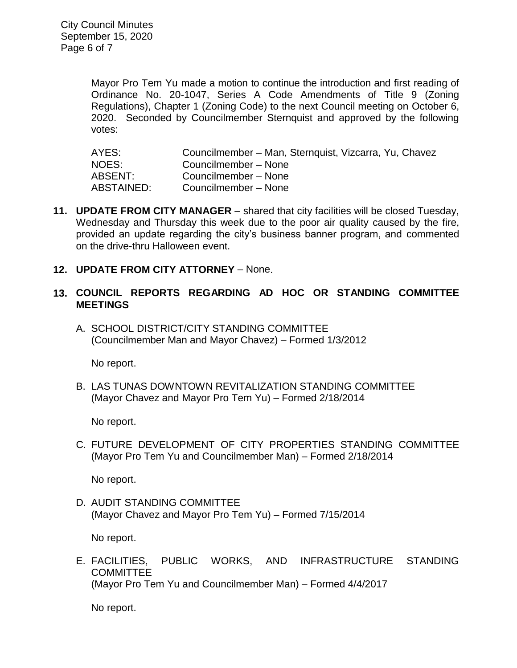City Council Minutes September 15, 2020 Page 6 of 7

> Mayor Pro Tem Yu made a motion to continue the introduction and first reading of Ordinance No. 20-1047, Series A Code Amendments of Title 9 (Zoning Regulations), Chapter 1 (Zoning Code) to the next Council meeting on October 6, 2020. Seconded by Councilmember Sternquist and approved by the following votes:

AYES: Councilmember – Man, Sternquist, Vizcarra, Yu, Chavez NOES: Councilmember – None ABSENT: Councilmember – None ABSTAINED: Councilmember – None

- **11. UPDATE FROM CITY MANAGER** shared that city facilities will be closed Tuesday, Wednesday and Thursday this week due to the poor air quality caused by the fire, provided an update regarding the city's business banner program, and commented on the drive-thru Halloween event.
- **12. UPDATE FROM CITY ATTORNEY** None.

### **13. COUNCIL REPORTS REGARDING AD HOC OR STANDING COMMITTEE MEETINGS**

A. SCHOOL DISTRICT/CITY STANDING COMMITTEE (Councilmember Man and Mayor Chavez) – Formed 1/3/2012

No report.

B. LAS TUNAS DOWNTOWN REVITALIZATION STANDING COMMITTEE (Mayor Chavez and Mayor Pro Tem Yu) – Formed 2/18/2014

No report.

C. FUTURE DEVELOPMENT OF CITY PROPERTIES STANDING COMMITTEE (Mayor Pro Tem Yu and Councilmember Man) – Formed 2/18/2014

No report.

D. AUDIT STANDING COMMITTEE (Mayor Chavez and Mayor Pro Tem Yu) – Formed 7/15/2014

No report.

E. FACILITIES, PUBLIC WORKS, AND INFRASTRUCTURE STANDING **COMMITTEE** (Mayor Pro Tem Yu and Councilmember Man) – Formed 4/4/2017

No report.